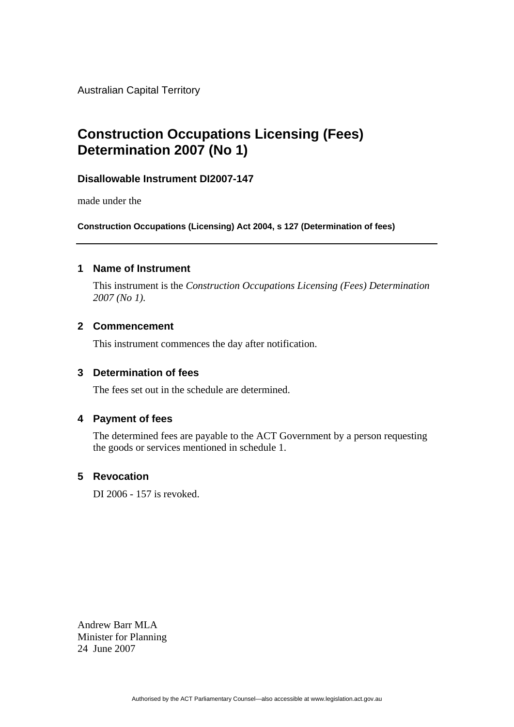Australian Capital Territory

# **Construction Occupations Licensing (Fees) Determination 2007 (No 1)**

# **Disallowable Instrument DI2007-147**

made under the

**Construction Occupations (Licensing) Act 2004, s 127 (Determination of fees)** 

#### **1 Name of Instrument**

This instrument is the *Construction Occupations Licensing (Fees) Determination 2007 (No 1).* 

# **2 Commencement**

This instrument commences the day after notification.

#### **3 Determination of fees**

The fees set out in the schedule are determined.

## **4 Payment of fees**

The determined fees are payable to the ACT Government by a person requesting the goods or services mentioned in schedule 1.

### **5 Revocation**

DI 2006 - 157 is revoked.

Andrew Barr MLA Minister for Planning 24 June 2007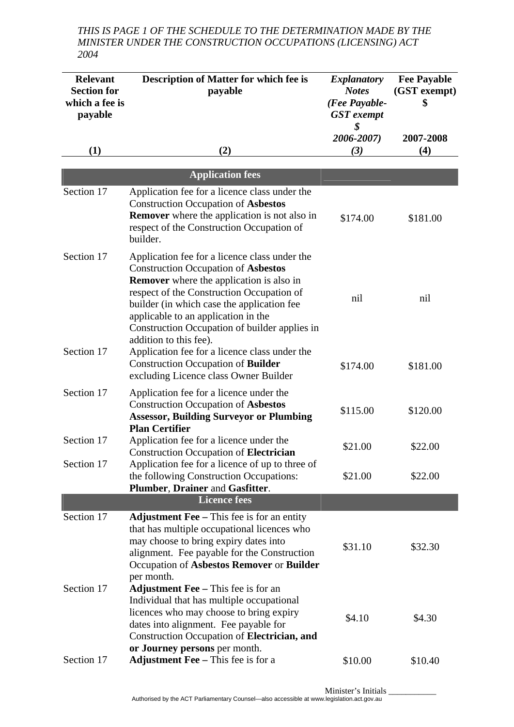*THIS IS PAGE 1 OF THE SCHEDULE TO THE DETERMINATION MADE BY THE MINISTER UNDER THE CONSTRUCTION OCCUPATIONS (LICENSING) ACT 2004* 

| <b>Relevant</b><br><b>Section for</b><br>which a fee is<br>payable | Description of Matter for which fee is<br>payable                                                                                                                                                                                                                                                                                                           | <b>Explanatory</b><br><b>Notes</b><br>(Fee Payable-<br><b>GST</b> exempt | <b>Fee Payable</b><br>(GST exempt)<br>\$ |
|--------------------------------------------------------------------|-------------------------------------------------------------------------------------------------------------------------------------------------------------------------------------------------------------------------------------------------------------------------------------------------------------------------------------------------------------|--------------------------------------------------------------------------|------------------------------------------|
| (1)                                                                | (2)                                                                                                                                                                                                                                                                                                                                                         | \$<br>2006-2007)<br>(3)                                                  | 2007-2008<br>(4)                         |
|                                                                    | <b>Application fees</b>                                                                                                                                                                                                                                                                                                                                     |                                                                          |                                          |
| Section 17                                                         | Application fee for a licence class under the<br><b>Construction Occupation of Asbestos</b><br><b>Remover</b> where the application is not also in<br>respect of the Construction Occupation of<br>builder.                                                                                                                                                 | \$174.00                                                                 | \$181.00                                 |
| Section 17                                                         | Application fee for a licence class under the<br><b>Construction Occupation of Asbestos</b><br><b>Remover</b> where the application is also in<br>respect of the Construction Occupation of<br>builder (in which case the application fee<br>applicable to an application in the<br>Construction Occupation of builder applies in<br>addition to this fee). | nil                                                                      | nil                                      |
| Section 17                                                         | Application fee for a licence class under the<br><b>Construction Occupation of Builder</b><br>excluding Licence class Owner Builder                                                                                                                                                                                                                         | \$174.00                                                                 | \$181.00                                 |
| Section 17                                                         | Application fee for a licence under the<br><b>Construction Occupation of Asbestos</b><br><b>Assessor, Building Surveyor or Plumbing</b><br><b>Plan Certifier</b>                                                                                                                                                                                            | \$115.00                                                                 | \$120.00                                 |
| Section 17                                                         | Application fee for a licence under the<br><b>Construction Occupation of Electrician</b>                                                                                                                                                                                                                                                                    | \$21.00                                                                  | \$22.00                                  |
| Section 17                                                         | Application fee for a licence of up to three of<br>the following Construction Occupations:<br>Plumber, Drainer and Gasfitter.                                                                                                                                                                                                                               | \$21.00                                                                  | \$22.00                                  |
|                                                                    | <b>Licence fees</b>                                                                                                                                                                                                                                                                                                                                         |                                                                          |                                          |
| Section 17                                                         | <b>Adjustment Fee</b> – This fee is for an entity<br>that has multiple occupational licences who<br>may choose to bring expiry dates into<br>alignment. Fee payable for the Construction<br>Occupation of Asbestos Remover or Builder<br>per month.                                                                                                         | \$31.10                                                                  | \$32.30                                  |
| Section 17                                                         | Adjustment Fee - This fee is for an<br>Individual that has multiple occupational<br>licences who may choose to bring expiry<br>dates into alignment. Fee payable for<br>Construction Occupation of Electrician, and<br>or Journey persons per month.                                                                                                        | \$4.10                                                                   | \$4.30                                   |
| Section 17                                                         | <b>Adjustment Fee</b> – This fee is for a                                                                                                                                                                                                                                                                                                                   | \$10.00                                                                  | \$10.40                                  |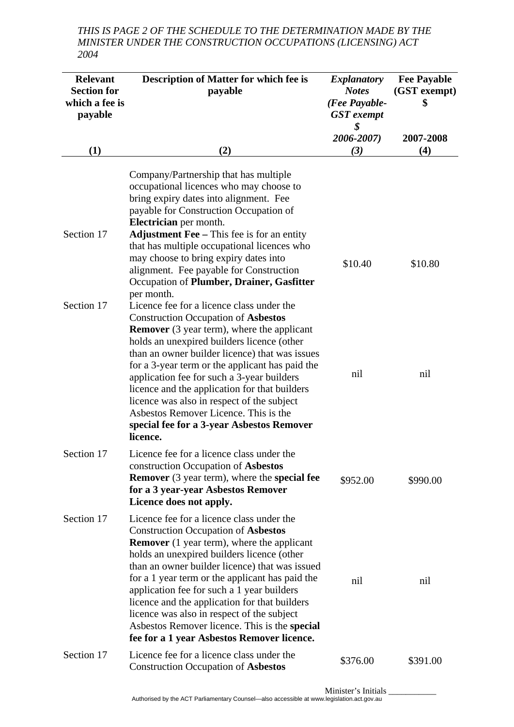*THIS IS PAGE 2 OF THE SCHEDULE TO THE DETERMINATION MADE BY THE MINISTER UNDER THE CONSTRUCTION OCCUPATIONS (LICENSING) ACT 2004* 

| <b>Relevant</b><br><b>Section for</b><br>which a fee is<br>payable | <b>Description of Matter for which fee is</b><br>payable                                                                                                                                                                                                                                                                                                                                                                                                                                                                                    | <i>Explanatory</i><br><b>Notes</b><br>(Fee Payable-<br><b>GST</b> exempt<br>\$ | <b>Fee Payable</b><br>(GST exempt)<br>\$ |
|--------------------------------------------------------------------|---------------------------------------------------------------------------------------------------------------------------------------------------------------------------------------------------------------------------------------------------------------------------------------------------------------------------------------------------------------------------------------------------------------------------------------------------------------------------------------------------------------------------------------------|--------------------------------------------------------------------------------|------------------------------------------|
|                                                                    |                                                                                                                                                                                                                                                                                                                                                                                                                                                                                                                                             | 2006-2007)                                                                     | 2007-2008                                |
| (1)                                                                | (2)                                                                                                                                                                                                                                                                                                                                                                                                                                                                                                                                         | (3)                                                                            | (4)                                      |
| Section 17                                                         | Company/Partnership that has multiple<br>occupational licences who may choose to<br>bring expiry dates into alignment. Fee<br>payable for Construction Occupation of<br>Electrician per month.<br><b>Adjustment Fee</b> – This fee is for an entity<br>that has multiple occupational licences who<br>may choose to bring expiry dates into<br>alignment. Fee payable for Construction<br>Occupation of Plumber, Drainer, Gasfitter                                                                                                         | \$10.40                                                                        | \$10.80                                  |
| Section 17                                                         | per month.<br>Licence fee for a licence class under the<br><b>Construction Occupation of Asbestos</b><br><b>Remover</b> (3 year term), where the applicant<br>holds an unexpired builders licence (other<br>than an owner builder licence) that was issues<br>for a 3-year term or the applicant has paid the<br>application fee for such a 3-year builders<br>licence and the application for that builders<br>licence was also in respect of the subject                                                                                  | nil                                                                            | nil                                      |
| Section 17                                                         | Asbestos Remover Licence. This is the<br>special fee for a 3-year Asbestos Remover<br>licence.<br>Licence fee for a licence class under the<br>construction Occupation of Asbestos<br><b>Remover</b> (3 year term), where the <b>special fee</b><br>for a 3 year-year Asbestos Remover                                                                                                                                                                                                                                                      | \$952.00                                                                       | \$990.00                                 |
|                                                                    | Licence does not apply.                                                                                                                                                                                                                                                                                                                                                                                                                                                                                                                     |                                                                                |                                          |
| Section 17                                                         | Licence fee for a licence class under the<br><b>Construction Occupation of Asbestos</b><br><b>Remover</b> (1 year term), where the applicant<br>holds an unexpired builders licence (other<br>than an owner builder licence) that was issued<br>for a 1 year term or the applicant has paid the<br>application fee for such a 1 year builders<br>licence and the application for that builders<br>licence was also in respect of the subject<br>Asbestos Remover licence. This is the special<br>fee for a 1 year Asbestos Remover licence. | nil                                                                            | nil                                      |
| Section 17                                                         | Licence fee for a licence class under the<br><b>Construction Occupation of Asbestos</b>                                                                                                                                                                                                                                                                                                                                                                                                                                                     | \$376.00                                                                       | \$391.00                                 |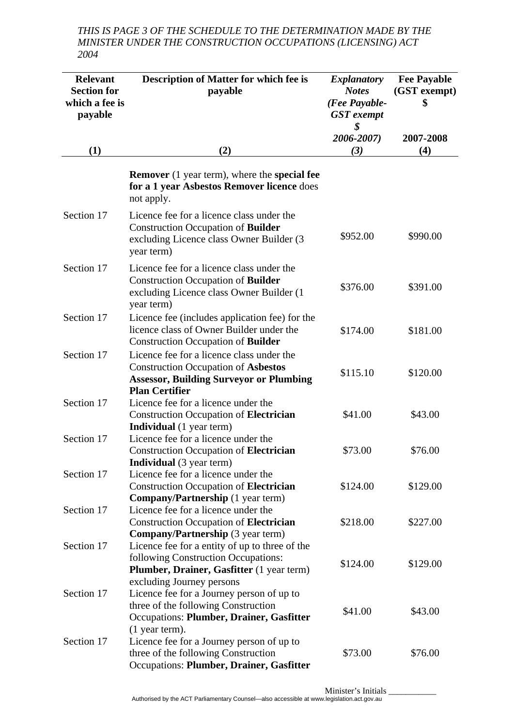*THIS IS PAGE 3 OF THE SCHEDULE TO THE DETERMINATION MADE BY THE MINISTER UNDER THE CONSTRUCTION OCCUPATIONS (LICENSING) ACT 2004* 

| <b>Relevant</b>                      | <b>Description of Matter for which fee is</b>                                                                                                                   | <b>Explanatory</b>            | <b>Fee Payable</b> |
|--------------------------------------|-----------------------------------------------------------------------------------------------------------------------------------------------------------------|-------------------------------|--------------------|
| <b>Section for</b><br>which a fee is | payable                                                                                                                                                         | <b>Notes</b><br>(Fee Payable- | (GST exempt)<br>\$ |
| payable                              |                                                                                                                                                                 | <b>GST</b> exempt             |                    |
|                                      |                                                                                                                                                                 | \$                            |                    |
| (1)                                  | (2)                                                                                                                                                             | 2006-2007)<br>(3)             | 2007-2008<br>(4)   |
|                                      |                                                                                                                                                                 |                               |                    |
|                                      | <b>Remover</b> (1 year term), where the <b>special fee</b><br>for a 1 year Asbestos Remover licence does<br>not apply.                                          |                               |                    |
| Section 17                           | Licence fee for a licence class under the<br><b>Construction Occupation of Builder</b><br>excluding Licence class Owner Builder (3<br>year term)                | \$952.00                      | \$990.00           |
| Section 17                           | Licence fee for a licence class under the<br><b>Construction Occupation of Builder</b><br>excluding Licence class Owner Builder (1)<br>year term)               | \$376.00                      | \$391.00           |
| Section 17                           | Licence fee (includes application fee) for the<br>licence class of Owner Builder under the<br>Construction Occupation of <b>Builder</b>                         | \$174.00                      | \$181.00           |
| Section 17                           | Licence fee for a licence class under the<br><b>Construction Occupation of Asbestos</b><br><b>Assessor, Building Surveyor or Plumbing</b>                       | \$115.10                      | \$120.00           |
| Section 17                           | <b>Plan Certifier</b><br>Licence fee for a licence under the<br><b>Construction Occupation of Electrician</b><br><b>Individual</b> (1 year term)                | \$41.00                       | \$43.00            |
| Section 17                           | Licence fee for a licence under the<br><b>Construction Occupation of Electrician</b><br><b>Individual</b> (3 year term)                                         | \$73.00                       | \$76.00            |
| Section 17                           | Licence fee for a licence under the<br><b>Construction Occupation of Electrician</b><br><b>Company/Partnership</b> (1 year term)                                | \$124.00                      | \$129.00           |
| Section 17                           | Licence fee for a licence under the<br><b>Construction Occupation of Electrician</b><br><b>Company/Partnership</b> (3 year term)                                | \$218.00                      | \$227.00           |
| Section 17                           | Licence fee for a entity of up to three of the<br>following Construction Occupations:<br>Plumber, Drainer, Gasfitter (1 year term)<br>excluding Journey persons | \$124.00                      | \$129.00           |
| Section 17                           | Licence fee for a Journey person of up to<br>three of the following Construction<br>Occupations: Plumber, Drainer, Gasfitter                                    | \$41.00                       | \$43.00            |
| Section 17                           | $(1$ year term).<br>Licence fee for a Journey person of up to<br>three of the following Construction<br>Occupations: Plumber, Drainer, Gasfitter                | \$73.00                       | \$76.00            |